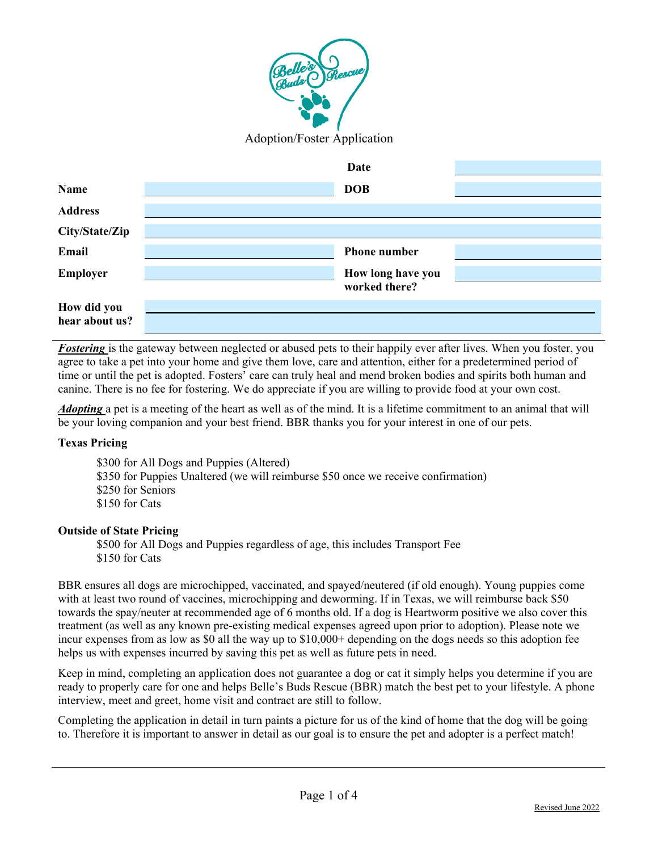

|                               | Date                               |  |
|-------------------------------|------------------------------------|--|
| <b>Name</b>                   | <b>DOB</b>                         |  |
| <b>Address</b>                |                                    |  |
| City/State/Zip                |                                    |  |
| Email                         | <b>Phone number</b>                |  |
| <b>Employer</b>               | How long have you<br>worked there? |  |
| How did you<br>hear about us? |                                    |  |

*Fostering* is the gateway between neglected or abused pets to their happily ever after lives. When you foster, you agree to take a pet into your home and give them love, care and attention, either for a predetermined period of time or until the pet is adopted. Fosters' care can truly heal and mend broken bodies and spirits both human and canine. There is no fee for fostering. We do appreciate if you are willing to provide food at your own cost.

*Adopting* a pet is a meeting of the heart as well as of the mind. It is a lifetime commitment to an animal that will be your loving companion and your best friend. BBR thanks you for your interest in one of our pets.

## **Texas Pricing**

- \$300 for All Dogs and Puppies (Altered) \$350 for Puppies Unaltered (we will reimburse \$50 once we receive confirmation) \$250 for Seniors
- \$150 for Cats

## **Outside of State Pricing**

\$500 for All Dogs and Puppies regardless of age, this includes Transport Fee \$150 for Cats

BBR ensures all dogs are microchipped, vaccinated, and spayed/neutered (if old enough). Young puppies come with at least two round of vaccines, microchipping and deworming. If in Texas, we will reimburse back \$50 towards the spay/neuter at recommended age of 6 months old. If a dog is Heartworm positive we also cover this treatment (as well as any known pre-existing medical expenses agreed upon prior to adoption). Please note we incur expenses from as low as \$0 all the way up to \$10,000+ depending on the dogs needs so this adoption fee helps us with expenses incurred by saving this pet as well as future pets in need.

Keep in mind, completing an application does not guarantee a dog or cat it simply helps you determine if you are ready to properly care for one and helps Belle's Buds Rescue (BBR) match the best pet to your lifestyle. A phone interview, meet and greet, home visit and contract are still to follow.

Completing the application in detail in turn paints a picture for us of the kind of home that the dog will be going to. Therefore it is important to answer in detail as our goal is to ensure the pet and adopter is a perfect match!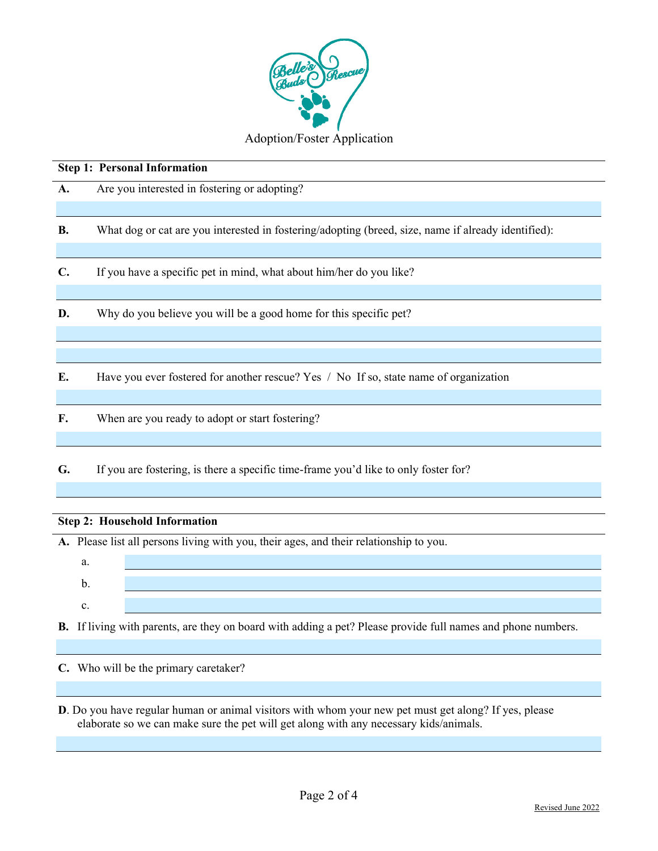

|           |                                                                   | <b>Step 1: Personal Information</b>                                                                 |  |  |  |
|-----------|-------------------------------------------------------------------|-----------------------------------------------------------------------------------------------------|--|--|--|
| A.        |                                                                   | Are you interested in fostering or adopting?                                                        |  |  |  |
|           |                                                                   |                                                                                                     |  |  |  |
| <b>B.</b> |                                                                   | What dog or cat are you interested in fostering/adopting (breed, size, name if already identified): |  |  |  |
|           |                                                                   |                                                                                                     |  |  |  |
| C.        |                                                                   | If you have a specific pet in mind, what about him/her do you like?                                 |  |  |  |
|           |                                                                   |                                                                                                     |  |  |  |
| D.        | Why do you believe you will be a good home for this specific pet? |                                                                                                     |  |  |  |
|           |                                                                   |                                                                                                     |  |  |  |
|           |                                                                   |                                                                                                     |  |  |  |
| E.        |                                                                   | Have you ever fostered for another rescue? Yes / No If so, state name of organization               |  |  |  |
|           |                                                                   |                                                                                                     |  |  |  |
| F.        | When are you ready to adopt or start fostering?                   |                                                                                                     |  |  |  |
|           |                                                                   |                                                                                                     |  |  |  |
| G.        |                                                                   | If you are fostering, is there a specific time-frame you'd like to only foster for?                 |  |  |  |
|           |                                                                   |                                                                                                     |  |  |  |
|           |                                                                   |                                                                                                     |  |  |  |
|           |                                                                   | <b>Step 2: Household Information</b>                                                                |  |  |  |
|           |                                                                   |                                                                                                     |  |  |  |
|           |                                                                   | A. Please list all persons living with you, their ages, and their relationship to you.              |  |  |  |
|           | a.                                                                |                                                                                                     |  |  |  |
|           | b.                                                                |                                                                                                     |  |  |  |

c.

**B.** If living with parents, are they on board with adding a pet? Please provide full names and phone numbers.

**C.** Who will be the primary caretaker?

**D**. Do you have regular human or animal visitors with whom your new pet must get along? If yes, please elaborate so we can make sure the pet will get along with any necessary kids/animals.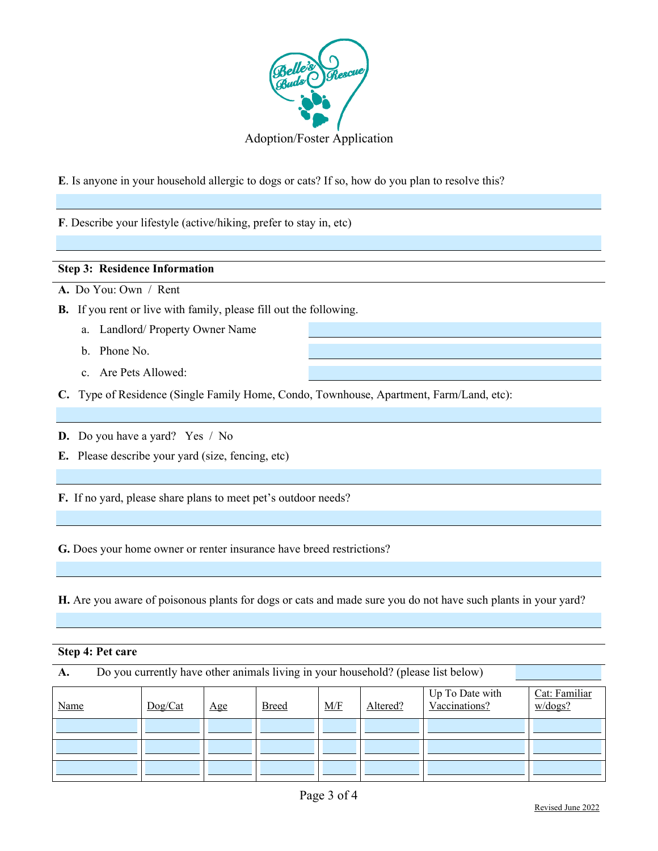

**E**. Is anyone in your household allergic to dogs or cats? If so, how do you plan to resolve this?

**F**. Describe your lifestyle (active/hiking, prefer to stay in, etc)

## **Step 3: Residence Information**

**A.** Do You: Own / Rent

- **B.** If you rent or live with family, please fill out the following.
	- a. Landlord/ Property Owner Name
	- b. Phone No.
	- c. Are Pets Allowed:
- **C.** Type of Residence (Single Family Home, Condo, Townhouse, Apartment, Farm/Land, etc):

**D.** Do you have a yard? Yes / No

**E.** Please describe your yard (size, fencing, etc)

**F.** If no yard, please share plans to meet pet's outdoor needs?

**G.** Does your home owner or renter insurance have breed restrictions?

**H.** Are you aware of poisonous plants for dogs or cats and made sure you do not have such plants in your yard?

## **Step 4: Pet care**

**A.** Do you currently have other animals living in your household? (please list below)

| Name | Dog/Cat | $\mathbf{Age}$ | <b>Breed</b> | M/F | Altered? | Up To Date with<br>Vaccinations? | Cat: Familiar<br>w/dogs? |
|------|---------|----------------|--------------|-----|----------|----------------------------------|--------------------------|
|      |         |                |              |     |          |                                  |                          |
|      |         |                |              |     |          |                                  |                          |
|      |         |                |              |     |          |                                  |                          |